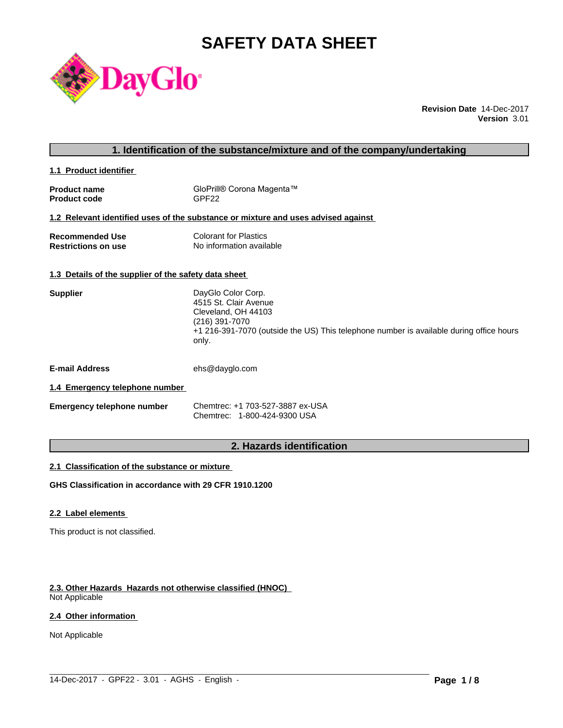# **SAFETY DATA SHEET**



**Revision Date** 14-Dec-2017 **Version** 3.01

# **1. Identification of the substance/mixture and of the company/undertaking**

**1.1 Product identifier** 

| <b>Product name</b> | GloPrill® Corona Magenta™ |
|---------------------|---------------------------|
| <b>Product code</b> | GPF <sub>22</sub>         |

# **1.2 Relevant identified uses of the substance or mixture and uses advised against**

| <b>Recommended Use</b>     | Colorant for Plastics    |
|----------------------------|--------------------------|
| <b>Restrictions on use</b> | No information available |

#### **1.3 Details of the supplier of the safety data sheet**

| <b>Supplier</b> | DayGlo Color Corp.                                                                               |
|-----------------|--------------------------------------------------------------------------------------------------|
|                 | 4515 St. Clair Avenue                                                                            |
|                 | Cleveland, OH 44103                                                                              |
|                 | (216) 391-7070                                                                                   |
|                 | +1 216-391-7070 (outside the US) This telephone number is available during office hours<br>only. |
|                 |                                                                                                  |

**E-mail Address** ehs@dayglo.com

# **1.4 Emergency telephone number**

| <b>Emergency telephone number</b> | Chemtrec: +1 703-527-3887 ex-USA |
|-----------------------------------|----------------------------------|
|                                   | Chemtrec: 1-800-424-9300 USA     |

# **2. Hazards identification**

 $\_$  ,  $\_$  ,  $\_$  ,  $\_$  ,  $\_$  ,  $\_$  ,  $\_$  ,  $\_$  ,  $\_$  ,  $\_$  ,  $\_$  ,  $\_$  ,  $\_$  ,  $\_$  ,  $\_$  ,  $\_$  ,  $\_$  ,  $\_$  ,  $\_$  ,  $\_$  ,  $\_$  ,  $\_$  ,  $\_$  ,  $\_$  ,  $\_$  ,  $\_$  ,  $\_$  ,  $\_$  ,  $\_$  ,  $\_$  ,  $\_$  ,  $\_$  ,  $\_$  ,  $\_$  ,  $\_$  ,  $\_$  ,  $\_$  ,

#### **2.1 Classification of the substance or mixture**

**GHS Classification in accordance with 29 CFR 1910.1200**

# **2.2 Label elements**

This product is not classified.

# **2.3. Other Hazards Hazards not otherwise classified (HNOC)**

Not Applicable

# **2.4 Other information**

Not Applicable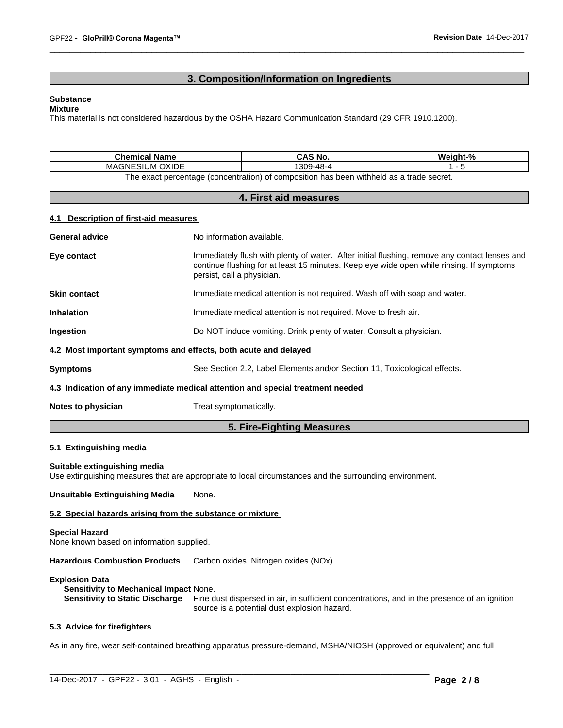# **3. Composition/Information on Ingredients**

#### **Substance**

#### **Mixture**

This material is not considered hazardous by the OSHA Hazard Communication Standard (29 CFR 1910.1200).

| <b>Chemical Name</b>                                                                                         | CAS No.   | Weight-% |  |  |  |
|--------------------------------------------------------------------------------------------------------------|-----------|----------|--|--|--|
| <b>OXIDE</b><br><b>MAGNESIUM</b>                                                                             | 1309-48-4 |          |  |  |  |
| ו withheld as a trade secret.<br>o exact percentage (concentration)<br>ı has been<br>he<br>composition<br>0t |           |          |  |  |  |

# **4. First aid measures**

#### **4.1 Description of first-aid measures**

|                       | 5. Fire-Fighting Measures                                                                                                                                                                                               |  |  |  |
|-----------------------|-------------------------------------------------------------------------------------------------------------------------------------------------------------------------------------------------------------------------|--|--|--|
| Notes to physician    | Treat symptomatically.                                                                                                                                                                                                  |  |  |  |
|                       | 4.3 Indication of any immediate medical attention and special treatment needed                                                                                                                                          |  |  |  |
| <b>Symptoms</b>       | See Section 2.2, Label Elements and/or Section 11, Toxicological effects.                                                                                                                                               |  |  |  |
|                       | 4.2 Most important symptoms and effects, both acute and delayed                                                                                                                                                         |  |  |  |
| Ingestion             | Do NOT induce vomiting. Drink plenty of water. Consult a physician.                                                                                                                                                     |  |  |  |
| <b>Inhalation</b>     | Immediate medical attention is not required. Move to fresh air.                                                                                                                                                         |  |  |  |
| <b>Skin contact</b>   | Immediate medical attention is not required. Wash off with soap and water.                                                                                                                                              |  |  |  |
| Eye contact           | Immediately flush with plenty of water. After initial flushing, remove any contact lenses and<br>continue flushing for at least 15 minutes. Keep eye wide open while rinsing. If symptoms<br>persist, call a physician. |  |  |  |
| <b>General advice</b> | No information available.                                                                                                                                                                                               |  |  |  |
|                       |                                                                                                                                                                                                                         |  |  |  |

#### **5.1 Extinguishing media**

#### **Suitable extinguishing media**

Use extinguishing measures that are appropriate to local circumstances and the surrounding environment.

**Unsuitable Extinguishing Media** None.

# **5.2 Special hazards arising from the substance or mixture**

#### **Special Hazard**

None known based on information supplied.

**Hazardous Combustion Products** Carbon oxides. Nitrogen oxides (NOx).

#### **Explosion Data**

**Sensitivity to Mechanical Impact** None.

**Sensitivity to Static Discharge** Fine dust dispersed in air, in sufficient concentrations, and in the presence of an ignition source is a potential dust explosion hazard.

# **5.3 Advice for firefighters**

As in any fire, wear self-contained breathing apparatus pressure-demand, MSHA/NIOSH (approved or equivalent) and full

 $\_$  ,  $\_$  ,  $\_$  ,  $\_$  ,  $\_$  ,  $\_$  ,  $\_$  ,  $\_$  ,  $\_$  ,  $\_$  ,  $\_$  ,  $\_$  ,  $\_$  ,  $\_$  ,  $\_$  ,  $\_$  ,  $\_$  ,  $\_$  ,  $\_$  ,  $\_$  ,  $\_$  ,  $\_$  ,  $\_$  ,  $\_$  ,  $\_$  ,  $\_$  ,  $\_$  ,  $\_$  ,  $\_$  ,  $\_$  ,  $\_$  ,  $\_$  ,  $\_$  ,  $\_$  ,  $\_$  ,  $\_$  ,  $\_$  ,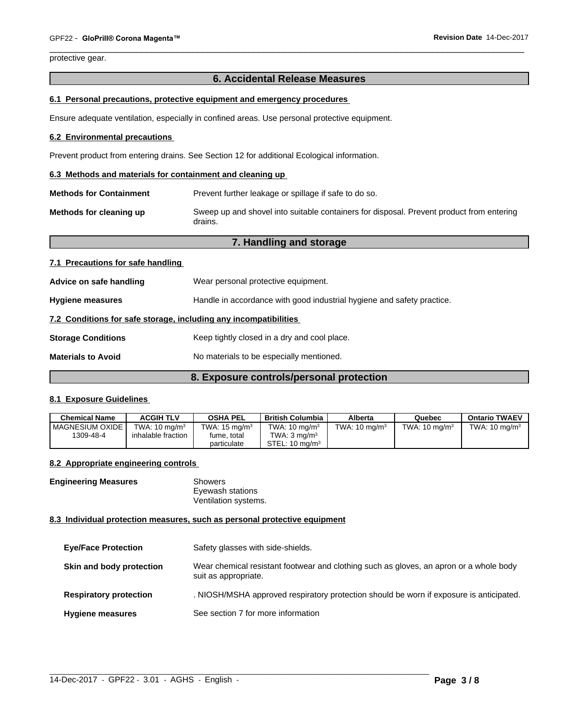protective gear.

# **6. Accidental Release Measures**

#### **6.1 Personal precautions, protective equipment and emergency procedures**

Ensure adequate ventilation, especially in confined areas. Use personal protective equipment.

# **6.2 Environmental precautions**

Prevent product from entering drains. See Section 12 for additional Ecological information.

#### **6.3 Methods and materials for containment and cleaning up**

| <b>Methods for Containment</b> | Prevent further leakage or spillage if safe to do so.                                               |
|--------------------------------|-----------------------------------------------------------------------------------------------------|
| Methods for cleaning up        | Sweep up and shovel into suitable containers for disposal. Prevent product from entering<br>drains. |

|                                   | 7. Handling and storage                                                |
|-----------------------------------|------------------------------------------------------------------------|
| 7.1 Precautions for safe handling |                                                                        |
| Advice on safe handling           | Wear personal protective equipment.                                    |
| <b>Hygiene measures</b>           | Handle in accordance with good industrial hygiene and safety practice. |
|                                   | 7.2 Conditions for safe storage, including any incompatibilities       |
| <b>Storage Conditions</b>         | Keep tightly closed in a dry and cool place.                           |
| <b>Materials to Avoid</b>         | No materials to be especially mentioned.                               |
|                                   | 8. Exposure controls/personal protection                               |

# **8.1 Exposure Guidelines**

| <b>Chemical Name</b> | <b>ACGIH TLV</b>         | <b>OSHA PEL</b>          | British Columbia          | Alberta                  | Quebec                   | <b>Ontario TWAEV</b>     |
|----------------------|--------------------------|--------------------------|---------------------------|--------------------------|--------------------------|--------------------------|
| I MAGNESIUM OXIDE.   | TWA: $10 \text{ ma/m}^3$ | TWA: $15 \text{ ma/m}^3$ | TWA: $10 \text{ ma/m}^3$  | TWA: $10 \text{ ma/m}^3$ | TWA: $10 \text{ ma/m}^3$ | TWA: $10 \text{ ma/m}^3$ |
| 1309-48-4            | inhalable fraction       | fume, total              | TWA: 3 ma/m <sup>3</sup>  |                          |                          |                          |
|                      |                          | particulate              | STEL: $10 \text{ ma/m}^3$ |                          |                          |                          |

#### **8.2 Appropriate engineering controls**

| <b>Engineering Measures</b> | Showers              |  |
|-----------------------------|----------------------|--|
|                             | Eyewash stations     |  |
|                             | Ventilation systems. |  |

#### **8.3 Individual protection measures, such as personal protective equipment**

| <b>Eye/Face Protection</b>    | Safety glasses with side-shields.                                                                              |
|-------------------------------|----------------------------------------------------------------------------------------------------------------|
| Skin and body protection      | Wear chemical resistant footwear and clothing such as gloves, an apron or a whole body<br>suit as appropriate. |
| <b>Respiratory protection</b> | . NIOSH/MSHA approved respiratory protection should be worn if exposure is anticipated.                        |
| <b>Hygiene measures</b>       | See section 7 for more information                                                                             |

 $\_$  ,  $\_$  ,  $\_$  ,  $\_$  ,  $\_$  ,  $\_$  ,  $\_$  ,  $\_$  ,  $\_$  ,  $\_$  ,  $\_$  ,  $\_$  ,  $\_$  ,  $\_$  ,  $\_$  ,  $\_$  ,  $\_$  ,  $\_$  ,  $\_$  ,  $\_$  ,  $\_$  ,  $\_$  ,  $\_$  ,  $\_$  ,  $\_$  ,  $\_$  ,  $\_$  ,  $\_$  ,  $\_$  ,  $\_$  ,  $\_$  ,  $\_$  ,  $\_$  ,  $\_$  ,  $\_$  ,  $\_$  ,  $\_$  ,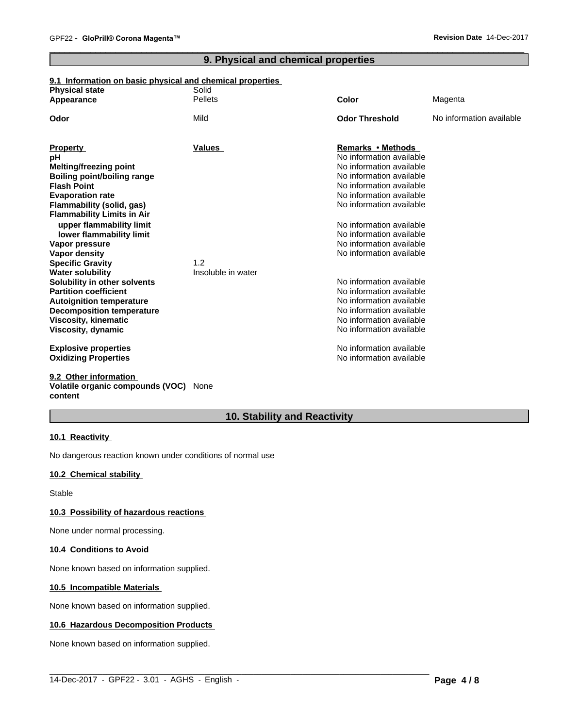# **9. Physical and chemical properties**

# **9.1 Information on basic physical and chemical properties**

| <b>Physical state</b>                                         | Solid<br><b>Pellets</b> | Color                    |                          |
|---------------------------------------------------------------|-------------------------|--------------------------|--------------------------|
| Appearance                                                    |                         |                          | Magenta                  |
| Odor                                                          | Mild                    | <b>Odor Threshold</b>    | No information available |
| <b>Property</b>                                               | <b>Values</b>           | Remarks • Methods        |                          |
| рH                                                            |                         | No information available |                          |
| <b>Melting/freezing point</b>                                 |                         | No information available |                          |
| Boiling point/boiling range                                   |                         | No information available |                          |
| <b>Flash Point</b>                                            |                         | No information available |                          |
| <b>Evaporation rate</b>                                       |                         | No information available |                          |
| Flammability (solid, gas)                                     |                         | No information available |                          |
| <b>Flammability Limits in Air</b><br>upper flammability limit |                         | No information available |                          |
| lower flammability limit                                      |                         | No information available |                          |
| Vapor pressure                                                |                         | No information available |                          |
| Vapor density                                                 |                         | No information available |                          |
| <b>Specific Gravity</b>                                       | 1.2                     |                          |                          |
| <b>Water solubility</b>                                       | Insoluble in water      |                          |                          |
| Solubility in other solvents                                  |                         | No information available |                          |
| <b>Partition coefficient</b>                                  |                         | No information available |                          |
| <b>Autoignition temperature</b>                               |                         | No information available |                          |
| <b>Decomposition temperature</b>                              |                         | No information available |                          |
| <b>Viscosity, kinematic</b>                                   |                         | No information available |                          |
| Viscosity, dynamic                                            |                         | No information available |                          |
| <b>Explosive properties</b>                                   |                         | No information available |                          |
| <b>Oxidizing Properties</b>                                   |                         | No information available |                          |
| 9.2 Other information                                         |                         |                          |                          |

# **Volatile organic compounds (VOC)** None **content**

# **10. Stability and Reactivity**

 $\_$  ,  $\_$  ,  $\_$  ,  $\_$  ,  $\_$  ,  $\_$  ,  $\_$  ,  $\_$  ,  $\_$  ,  $\_$  ,  $\_$  ,  $\_$  ,  $\_$  ,  $\_$  ,  $\_$  ,  $\_$  ,  $\_$  ,  $\_$  ,  $\_$  ,  $\_$  ,  $\_$  ,  $\_$  ,  $\_$  ,  $\_$  ,  $\_$  ,  $\_$  ,  $\_$  ,  $\_$  ,  $\_$  ,  $\_$  ,  $\_$  ,  $\_$  ,  $\_$  ,  $\_$  ,  $\_$  ,  $\_$  ,  $\_$  ,

# **10.1 Reactivity**

No dangerous reaction known under conditions of normal use

# **10.2 Chemical stability**

Stable

# **10.3 Possibility of hazardous reactions**

None under normal processing.

# **10.4 Conditions to Avoid**

None known based on information supplied.

# **10.5 Incompatible Materials**

None known based on information supplied.

# **10.6 Hazardous Decomposition Products**

None known based on information supplied.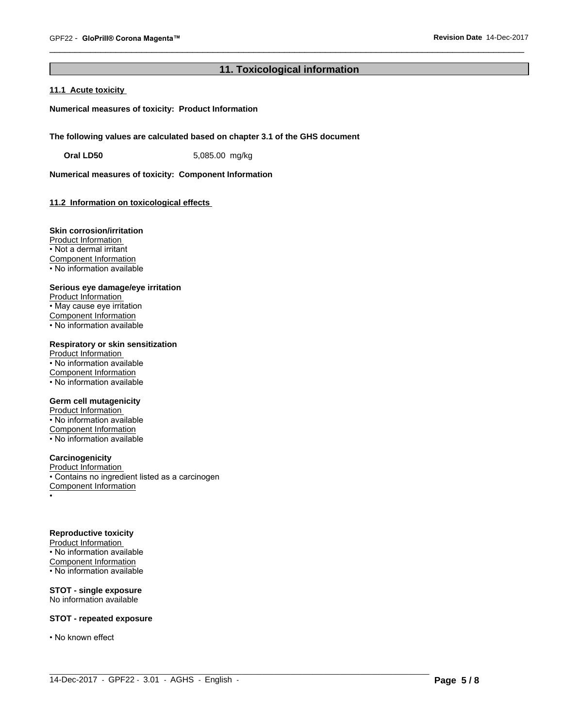# **11. Toxicological information**

 $\_$  ,  $\_$  ,  $\_$  ,  $\_$  ,  $\_$  ,  $\_$  ,  $\_$  ,  $\_$  ,  $\_$  ,  $\_$  ,  $\_$  ,  $\_$  ,  $\_$  ,  $\_$  ,  $\_$  ,  $\_$  ,  $\_$  ,  $\_$  ,  $\_$  ,  $\_$  ,  $\_$  ,  $\_$  ,  $\_$  ,  $\_$  ,  $\_$  ,  $\_$  ,  $\_$  ,  $\_$  ,  $\_$  ,  $\_$  ,  $\_$  ,  $\_$  ,  $\_$  ,  $\_$  ,  $\_$  ,  $\_$  ,  $\_$  ,

# **11.1 Acute toxicity**

**Numerical measures of toxicity: Product Information**

**The following values are calculated based on chapter 3.1 of the GHS document**

**Oral LD50** 5,085.00 mg/kg

**Numerical measures of toxicity: Component Information**

# **11.2 Information on toxicologicaleffects**

#### **Skin corrosion/irritation**

Product Information • Not a dermal irritant Component Information • No information available

# **Serious eye damage/eye irritation**

Product Information • May cause eye irritation Component Information • No information available

# **Respiratory or skin sensitization** Product Information

• No information available Component Information  $\overline{\cdot}$  No information available

# **Germ cell mutagenicity**

Product Information • No information available Component Information • No information available

#### **Carcinogenicity**

Product Information • Contains no ingredient listed as a carcinogen Component Information •

# **Reproductive toxicity**

Product Information • No information available Component Information • No information available

# **STOT - single exposure**

No information available

# **STOT - repeated exposure**

• No known effect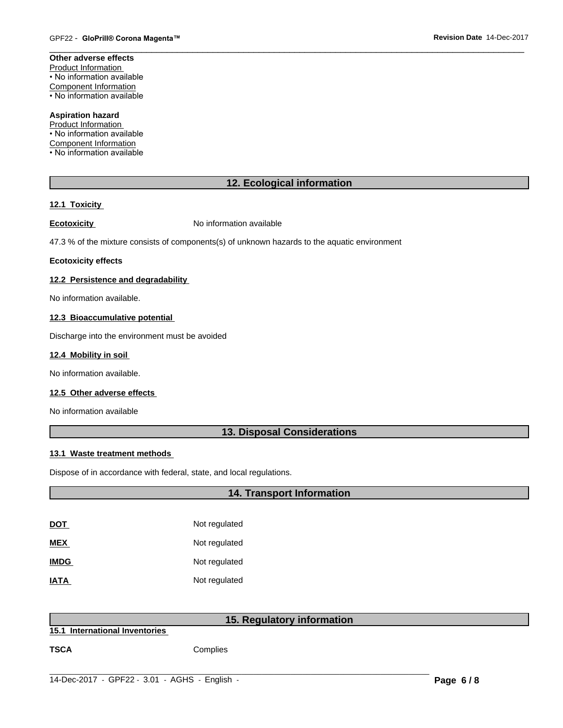# **Other adverse effects** Product Information • No information available Component Information

• No information available

#### **Aspiration hazard** Product Information

• No information available Component Information • No information available

# **12. Ecological information**

# **12.1 Toxicity**

**Ecotoxicity No information available** 

47.3 % of the mixture consists of components(s) of unknown hazards to the aquatic environment

# **Ecotoxicity effects**

# **12.2 Persistence and degradability**

No information available.

# **12.3 Bioaccumulative potential**

Discharge into the environment must be avoided

# **12.4 Mobility in soil**

No information available.

# **12.5 Other adverse effects**

No information available

# **13. Disposal Considerations**

# **13.1 Waste treatment methods**

Dispose of in accordance with federal, state, and local regulations.

|             | <b>14. Transport Information</b>                                                                    |  |
|-------------|-----------------------------------------------------------------------------------------------------|--|
|             |                                                                                                     |  |
| <b>DOT</b>  | Not regulated                                                                                       |  |
| <b>MEX</b>  | Not regulated                                                                                       |  |
| <b>IMDG</b> | Not regulated                                                                                       |  |
| <b>IATA</b> | Not regulated                                                                                       |  |
|             |                                                                                                     |  |
|             | $\mathbf{r}$ , and the set of $\mathbf{r}$<br>$\mathbf{A} = \mathbf{B}$ , and a set of $\mathbf{A}$ |  |

**15.1 International Inventories**

# **15. Regulatory information**

 $\_$  ,  $\_$  ,  $\_$  ,  $\_$  ,  $\_$  ,  $\_$  ,  $\_$  ,  $\_$  ,  $\_$  ,  $\_$  ,  $\_$  ,  $\_$  ,  $\_$  ,  $\_$  ,  $\_$  ,  $\_$  ,  $\_$  ,  $\_$  ,  $\_$  ,  $\_$  ,  $\_$  ,  $\_$  ,  $\_$  ,  $\_$  ,  $\_$  ,  $\_$  ,  $\_$  ,  $\_$  ,  $\_$  ,  $\_$  ,  $\_$  ,  $\_$  ,  $\_$  ,  $\_$  ,  $\_$  ,  $\_$  ,  $\_$  ,

**TSCA** Complies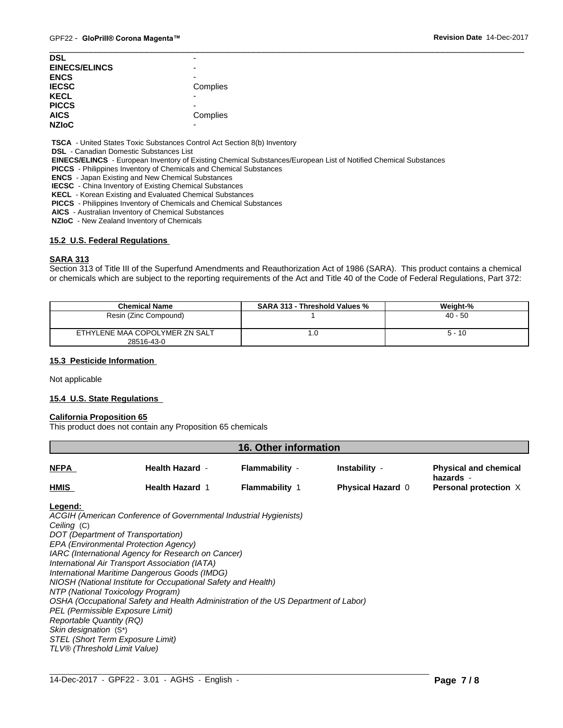| <b>DSL</b>           | -        |
|----------------------|----------|
| <b>EINECS/ELINCS</b> |          |
| <b>ENCS</b>          | -        |
| <b>IECSC</b>         | Complies |
| <b>KECL</b>          |          |
| <b>PICCS</b>         | -        |
| <b>AICS</b>          | Complies |
| <b>NZIOC</b>         | -        |

 **TSCA** - United States Toxic Substances Control Act Section 8(b) Inventory

 **DSL** - Canadian Domestic Substances List

 **EINECS/ELINCS** - European Inventory of Existing Chemical Substances/European List of Notified Chemical Substances

 **PICCS** - Philippines Inventory of Chemicals and Chemical Substances

 **ENCS** - Japan Existing and New Chemical Substances

 **IECSC** - China Inventory of Existing Chemical Substances

 **KECL** - Korean Existing and Evaluated Chemical Substances

 **PICCS** - Philippines Inventory of Chemicals and Chemical Substances

 **AICS** - Australian Inventory of Chemical Substances

 **NZIoC** - New Zealand Inventory of Chemicals

#### **15.2 U.S. Federal Regulations**

#### **SARA 313**

Section 313 of Title III of the Superfund Amendments and Reauthorization Act of 1986 (SARA). This product contains a chemical or chemicals which are subject to the reporting requirements of the Act and Title 40 of the Code of Federal Regulations, Part 372:

| <b>Chemical Name</b>                         | <b>SARA 313 - Threshold Values %</b> | Weight-%  |
|----------------------------------------------|--------------------------------------|-----------|
| Resin (Zinc Compound)                        |                                      | $40 - 50$ |
| ETHYLENE MAA COPOLYMER ZN SALT<br>28516-43-0 | .u                                   | $5 - 10$  |

#### **15.3 Pesticide Information**

Not applicable

# **15.4 U.S. State Regulations**

#### **California Proposition 65**

This product does not contain any Proposition 65 chemicals

| 16. Other information |                        |                       |                          |                                           |  |
|-----------------------|------------------------|-----------------------|--------------------------|-------------------------------------------|--|
| <b>NFPA</b>           | <b>Health Hazard -</b> | Flammability -        | Instability -            | <b>Physical and chemical</b><br>hazards - |  |
| <b>HMIS</b>           | <b>Health Hazard 1</b> | <b>Flammability</b> 1 | <b>Physical Hazard 0</b> | <b>Personal protection X</b>              |  |

 $\_$  ,  $\_$  ,  $\_$  ,  $\_$  ,  $\_$  ,  $\_$  ,  $\_$  ,  $\_$  ,  $\_$  ,  $\_$  ,  $\_$  ,  $\_$  ,  $\_$  ,  $\_$  ,  $\_$  ,  $\_$  ,  $\_$  ,  $\_$  ,  $\_$  ,  $\_$  ,  $\_$  ,  $\_$  ,  $\_$  ,  $\_$  ,  $\_$  ,  $\_$  ,  $\_$  ,  $\_$  ,  $\_$  ,  $\_$  ,  $\_$  ,  $\_$  ,  $\_$  ,  $\_$  ,  $\_$  ,  $\_$  ,  $\_$  ,

# **Legend:**

*ACGIH (American Conference of Governmental Industrial Hygienists) Ceiling* (C) *DOT (Department of Transportation) EPA (Environmental Protection Agency) IARC (International Agency for Research on Cancer) International Air Transport Association (IATA) International Maritime Dangerous Goods (IMDG) NIOSH (National Institute for Occupational Safety and Health) NTP (National Toxicology Program) OSHA (Occupational Safety and Health Administration of the US Department of Labor) PEL (Permissible Exposure Limit) Reportable Quantity (RQ) Skin designation* (S\*) *STEL (Short Term Exposure Limit) TLV® (Threshold Limit Value)*